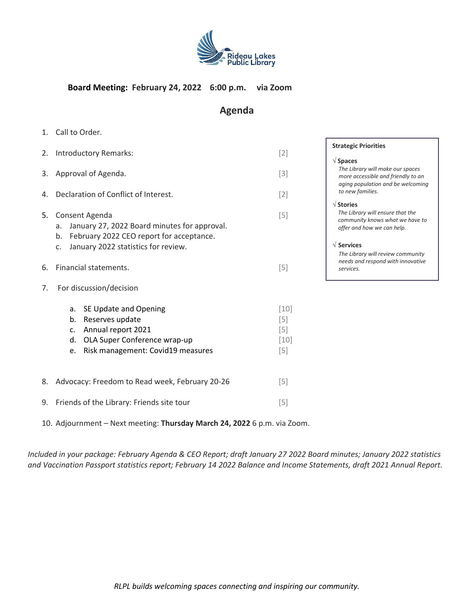

#### **Board Meeting: February 24, 2022 6:00 p.m. via Zoom**

## **Agenda**

**Strategic Priorities** 

*to new families.*

*The Library will make our spaces more accessible and friendly to an aging population and be welcoming* 

*The Library will ensure that the community knows what we have to offer and how we can help.*

*The Library will review community needs and respond with innovative* 

**Spaces**

**Stories**

**Services**

*services.*

1. Call to Order.

|    | 2. Introductory Remarks:                                                                                                                                            | $[2]$                                       | S |
|----|---------------------------------------------------------------------------------------------------------------------------------------------------------------------|---------------------------------------------|---|
| 3. | Approval of Agenda.                                                                                                                                                 | $[3]$                                       |   |
| 4. | Declaration of Conflict of Interest.                                                                                                                                | $[2]$                                       |   |
| 5. | Consent Agenda<br>January 27, 2022 Board minutes for approval.<br>a.<br>February 2022 CEO report for acceptance.<br>b.<br>January 2022 statistics for review.<br>C. | $[5]$                                       |   |
| 6. | Financial statements.                                                                                                                                               | $[5]$                                       |   |
| 7. | For discussion/decision                                                                                                                                             |                                             |   |
|    | SE Update and Opening<br>a.<br>Reserves update<br>b.<br>Annual report 2021<br>c.<br>OLA Super Conference wrap-up<br>d.<br>Risk management: Covid19 measures<br>e.   | $[10]$<br>$[5]$<br>$[5]$<br>$[10]$<br>$[5]$ |   |
| 8. | Advocacy: Freedom to Read week, February 20-26                                                                                                                      | $[5]$                                       |   |

- 9. Friends of the Library: Friends site tour [5]
- 10. Adjournment Next meeting: **Thursday March 24, 2022** 6 p.m. via Zoom.

*Included in your package: February Agenda & CEO Report; draft January 27 2022 Board minutes; January 2022 statistics and Vaccination Passport statistics report; February 14 2022 Balance and Income Statements, draft 2021 Annual Report.*